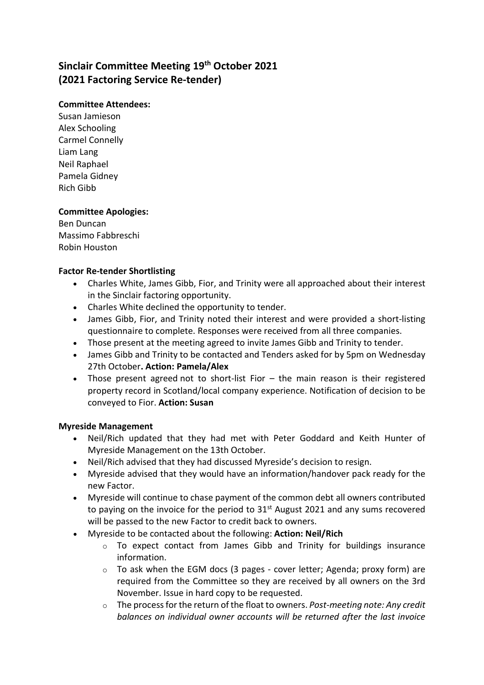# Sinclair Committee Meeting 19<sup>th</sup> October 2021 (2021 Factoring Service Re-tender)

## Committee Attendees:

Susan Jamieson Alex Schooling Carmel Connelly Liam Lang Neil Raphael Pamela Gidney Rich Gibb

# Committee Apologies:

Ben Duncan Massimo Fabbreschi Robin Houston

## Factor Re-tender Shortlisting

- Charles White, James Gibb, Fior, and Trinity were all approached about their interest in the Sinclair factoring opportunity.
- Charles White declined the opportunity to tender.
- James Gibb, Fior, and Trinity noted their interest and were provided a short-listing questionnaire to complete. Responses were received from all three companies.
- Those present at the meeting agreed to invite James Gibb and Trinity to tender.
- James Gibb and Trinity to be contacted and Tenders asked for by 5pm on Wednesday 27th October. Action: Pamela/Alex
- Those present agreed not to short-list Fior the main reason is their registered property record in Scotland/local company experience. Notification of decision to be conveyed to Fior. Action: Susan

# Myreside Management

- Neil/Rich updated that they had met with Peter Goddard and Keith Hunter of Myreside Management on the 13th October.
- Neil/Rich advised that they had discussed Myreside's decision to resign.
- Myreside advised that they would have an information/handover pack ready for the new Factor.
- Myreside will continue to chase payment of the common debt all owners contributed to paying on the invoice for the period to  $31<sup>st</sup>$  August 2021 and any sums recovered will be passed to the new Factor to credit back to owners.
- Myreside to be contacted about the following: Action: Neil/Rich
	- o To expect contact from James Gibb and Trinity for buildings insurance information.
	- o To ask when the EGM docs (3 pages cover letter; Agenda; proxy form) are required from the Committee so they are received by all owners on the 3rd November. Issue in hard copy to be requested.
	- $\circ$  The process for the return of the float to owners. Post-meeting note: Any credit balances on individual owner accounts will be returned after the last invoice